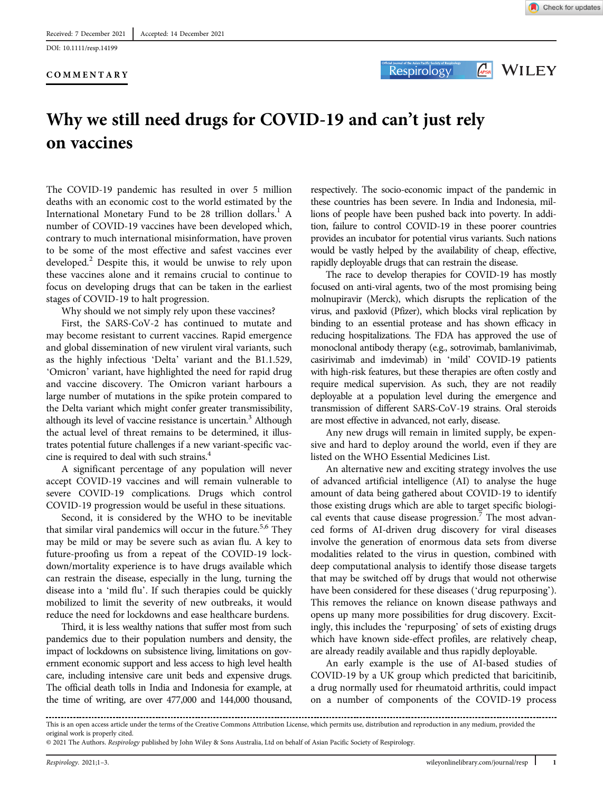DOI: 10.1111/resp.14199

#### COMMENTARY



**Respirology** 

**APSR** WILEY

# Why we still need drugs for COVID-19 and can't just rely on vaccines

The COVID-19 pandemic has resulted in over 5 million deaths with an economic cost to the world estimated by the International Monetary Fund to be 28 trillion dollars.<sup>1</sup> A number of COVID-19 vaccines have been developed which, contrary to much international misinformation, have proven to be some of the most effective and safest vaccines ever developed.<sup>2</sup> Despite this, it would be unwise to rely upon these vaccines alone and it remains crucial to continue to focus on developing drugs that can be taken in the earliest stages of COVID-19 to halt progression.

Why should we not simply rely upon these vaccines?

First, the SARS-CoV-2 has continued to mutate and may become resistant to current vaccines. Rapid emergence and global dissemination of new virulent viral variants, such as the highly infectious 'Delta' variant and the B1.1.529, 'Omicron' variant, have highlighted the need for rapid drug and vaccine discovery. The Omicron variant harbours a large number of mutations in the spike protein compared to the Delta variant which might confer greater transmissibility, although its level of vaccine resistance is uncertain.<sup>3</sup> Although the actual level of threat remains to be determined, it illustrates potential future challenges if a new variant-specific vaccine is required to deal with such strains.<sup>4</sup>

A significant percentage of any population will never accept COVID-19 vaccines and will remain vulnerable to severe COVID-19 complications. Drugs which control COVID-19 progression would be useful in these situations.

Second, it is considered by the WHO to be inevitable that similar viral pandemics will occur in the future.<sup>5,6</sup> They may be mild or may be severe such as avian flu. A key to future-proofing us from a repeat of the COVID-19 lockdown/mortality experience is to have drugs available which can restrain the disease, especially in the lung, turning the disease into a 'mild flu'. If such therapies could be quickly mobilized to limit the severity of new outbreaks, it would reduce the need for lockdowns and ease healthcare burdens.

Third, it is less wealthy nations that suffer most from such pandemics due to their population numbers and density, the impact of lockdowns on subsistence living, limitations on government economic support and less access to high level health care, including intensive care unit beds and expensive drugs. The official death tolls in India and Indonesia for example, at the time of writing, are over 477,000 and 144,000 thousand,

respectively. The socio-economic impact of the pandemic in these countries has been severe. In India and Indonesia, millions of people have been pushed back into poverty. In addition, failure to control COVID-19 in these poorer countries provides an incubator for potential virus variants. Such nations would be vastly helped by the availability of cheap, effective, rapidly deployable drugs that can restrain the disease.

The race to develop therapies for COVID-19 has mostly focused on anti-viral agents, two of the most promising being molnupiravir (Merck), which disrupts the replication of the virus, and paxlovid (Pfizer), which blocks viral replication by binding to an essential protease and has shown efficacy in reducing hospitalizations. The FDA has approved the use of monoclonal antibody therapy (e.g., sotrovimab, bamlanivimab, casirivimab and imdevimab) in 'mild' COVID-19 patients with high-risk features, but these therapies are often costly and require medical supervision. As such, they are not readily deployable at a population level during the emergence and transmission of different SARS-CoV-19 strains. Oral steroids are most effective in advanced, not early, disease.

Any new drugs will remain in limited supply, be expensive and hard to deploy around the world, even if they are listed on the WHO Essential Medicines List.

An alternative new and exciting strategy involves the use of advanced artificial intelligence (AI) to analyse the huge amount of data being gathered about COVID-19 to identify those existing drugs which are able to target specific biological events that cause disease progression.<sup>7</sup> The most advanced forms of AI-driven drug discovery for viral diseases involve the generation of enormous data sets from diverse modalities related to the virus in question, combined with deep computational analysis to identify those disease targets that may be switched off by drugs that would not otherwise have been considered for these diseases ('drug repurposing'). This removes the reliance on known disease pathways and opens up many more possibilities for drug discovery. Excitingly, this includes the 'repurposing' of sets of existing drugs which have known side-effect profiles, are relatively cheap, are already readily available and thus rapidly deployable.

An early example is the use of AI-based studies of COVID-19 by a UK group which predicted that baricitinib, a drug normally used for rheumatoid arthritis, could impact on a number of components of the COVID-19 process

This is an open access article under the terms of the [Creative Commons Attribution](http://creativecommons.org/licenses/by/4.0/) License, which permits use, distribution and reproduction in any medium, provided the original work is properly cited.

<sup>© 2021</sup> The Authors. Respirology published by John Wiley & Sons Australia, Ltd on behalf of Asian Pacific Society of Respirology.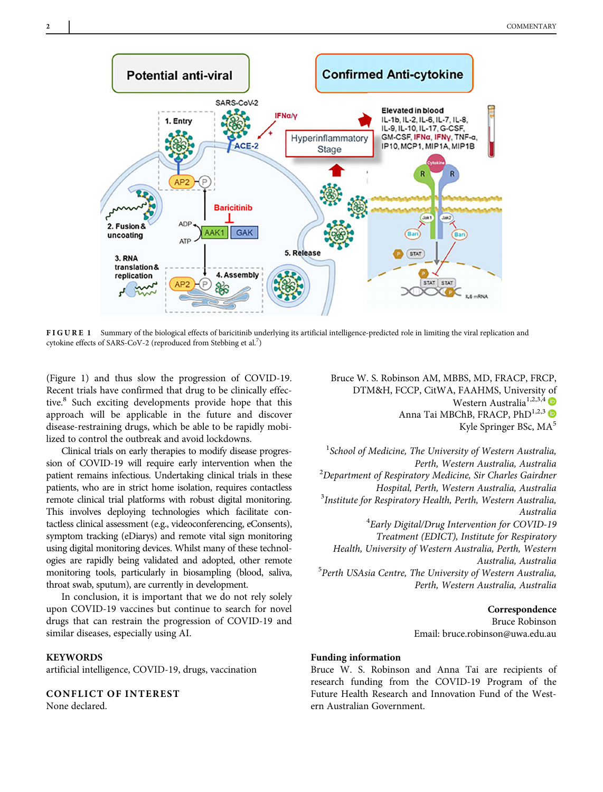

FIGURE 1 Summary of the biological effects of baricitinib underlying its artificial intelligence-predicted role in limiting the viral replication and cytokine effects of SARS-CoV-2 (reproduced from Stebbing et al. $^7$ )

(Figure 1) and thus slow the progression of COVID-19. Recent trials have confirmed that drug to be clinically effective.<sup>8</sup> Such exciting developments provide hope that this approach will be applicable in the future and discover disease-restraining drugs, which be able to be rapidly mobilized to control the outbreak and avoid lockdowns.

Clinical trials on early therapies to modify disease progression of COVID-19 will require early intervention when the patient remains infectious. Undertaking clinical trials in these patients, who are in strict home isolation, requires contactless remote clinical trial platforms with robust digital monitoring. This involves deploying technologies which facilitate contactless clinical assessment (e.g., videoconferencing, eConsents), symptom tracking (eDiarys) and remote vital sign monitoring using digital monitoring devices. Whilst many of these technologies are rapidly being validated and adopted, other remote monitoring tools, particularly in biosampling (blood, saliva, throat swab, sputum), are currently in development.

In conclusion, it is important that we do not rely solely upon COVID-19 vaccines but continue to search for novel drugs that can restrain the progression of COVID-19 and similar diseases, especially using AI.

#### **KEYWORDS**

artificial intelligence, COVID-19, drugs, vaccination

# CONFLICT OF INTEREST

None declared.

Bruce W. S. Robinson AM, MBBS, MD, FRACP, FRCP, DTM&H, FCCP, CitWA, FAAHMS, University of Western Australia<sup>1,2,3,4</sup> Anna Tai MBChB, FRACP, PhD<sup>1,2,3</sup> Kyle Springer BSc, MA<sup>5</sup>

<sup>1</sup>School of Medicine, The University of Western Australia, Perth, Western Australia, Australia<br><sup>2</sup>Department of Respiratory Medicine, Sir Charles Gairdner Hospital, Perth, Western Australia, Australia <sup>3</sup>  $3$ Institute for Respiratory Health, Perth, Western Australia, Australia <sup>4</sup> Early Digital/Drug Intervention for COVID-19 Treatment (EDICT), Institute for Respiratory Health, University of Western Australia, Perth, Western Australia, Australia<br><sup>5</sup>Perth USAsia Centre, The University of Western Australia, Perth, Western Australia, Australia

> Correspondence Bruce Robinson Email: [bruce.robinson@uwa.edu.au](mailto:bruce.robinson@uwa.edu.au)

#### Funding information

Bruce W. S. Robinson and Anna Tai are recipients of research funding from the COVID-19 Program of the Future Health Research and Innovation Fund of the Western Australian Government.